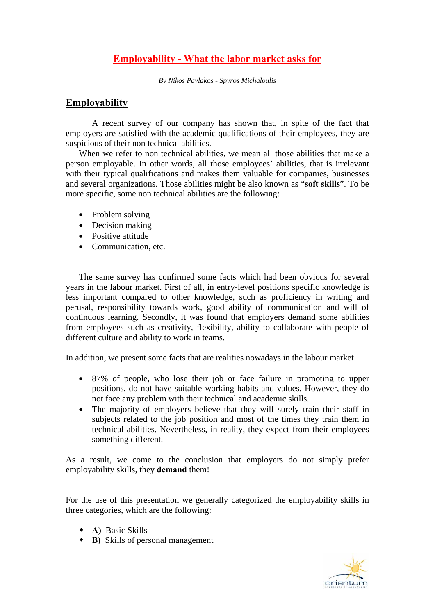# **Employability - What the labor market asks for**

*By Nikos Pavlakos - Spyros Michaloulis* 

## **Employability**

A recent survey of our company has shown that, in spite of the fact that employers are satisfied with the academic qualifications of their employees, they are suspicious of their non technical abilities.

When we refer to non technical abilities, we mean all those abilities that make a person employable. In other words, all those employees' abilities, that is irrelevant with their typical qualifications and makes them valuable for companies, businesses and several organizations. Those abilities might be also known as "**soft skills**". To be more specific, some non technical abilities are the following:

- Problem solving
- Decision making
- Positive attitude
- Communication, etc.

The same survey has confirmed some facts which had been obvious for several years in the labour market. First of all, in entry-level positions specific knowledge is less important compared to other knowledge, such as proficiency in writing and perusal, responsibility towards work, good ability of communication and will of continuous learning. Secondly, it was found that employers demand some abilities from employees such as creativity, flexibility, ability to collaborate with people of different culture and ability to work in teams.

In addition, we present some facts that are realities nowadays in the labour market.

- 87% of people, who lose their job or face failure in promoting to upper positions, do not have suitable working habits and values. However, they do not face any problem with their technical and academic skills.
- The majority of employers believe that they will surely train their staff in subjects related to the job position and most of the times they train them in technical abilities. Nevertheless, in reality, they expect from their employees something different.

As a result, we come to the conclusion that employers do not simply prefer employability skills, they **demand** them!

For the use of this presentation we generally categorized the employability skills in three categories, which are the following:

- **A)** Basic Skills
- **B)** Skills of personal management

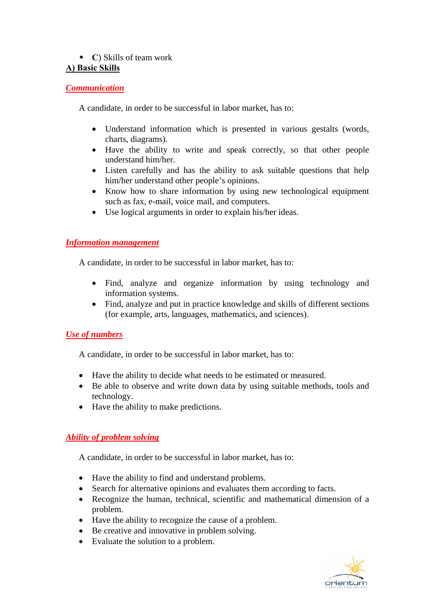# **C**) Skills of team work

# **Α) Basic Skills**

## *Communication*

A candidate, in order to be successful in labor market, has to:

- Understand information which is presented in various gestalts (words, charts, diagrams).
- Have the ability to write and speak correctly, so that other people understand him/her.
- Listen carefully and has the ability to ask suitable questions that help him/her understand other people's opinions.
- Know how to share information by using new technological equipment such as fax, e-mail, voice mail, and computers.
- Use logical arguments in order to explain his/her ideas.

## *Information management*

A candidate, in order to be successful in labor market, has to:

- Find, analyze and organize information by using technology and information systems.
- Find, analyze and put in practice knowledge and skills of different sections (for example, arts, languages, mathematics, and sciences).

# *Use of numbers*

A candidate, in order to be successful in labor market, has to:

- Have the ability to decide what needs to be estimated or measured.
- Be able to observe and write down data by using suitable methods, tools and technology.
- Have the ability to make predictions.

# *Ability of problem solving*

A candidate, in order to be successful in labor market, has to:

- Have the ability to find and understand problems.
- Search for alternative opinions and evaluates them according to facts.
- Recognize the human, technical, scientific and mathematical dimension of a problem.
- Have the ability to recognize the cause of a problem.
- Be creative and innovative in problem solving.
- Evaluate the solution to a problem.

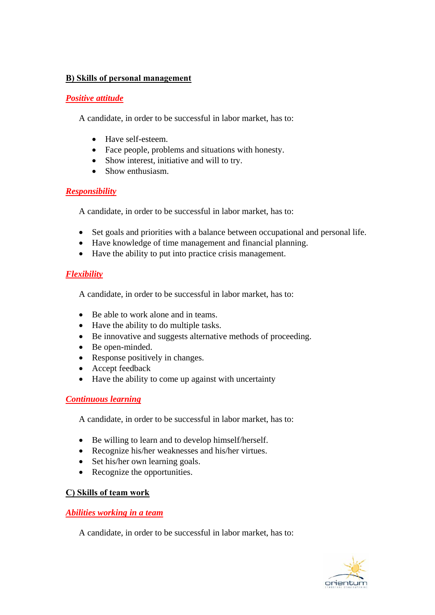#### **Β) Skills of personal management**

#### *Positive attitude*

A candidate, in order to be successful in labor market, has to:

- Have self-esteem.
- Face people, problems and situations with honesty.
- Show interest, initiative and will to try.
- Show enthusiasm.

## *Responsibility*

A candidate, in order to be successful in labor market, has to:

- Set goals and priorities with a balance between occupational and personal life.
- Have knowledge of time management and financial planning.
- Have the ability to put into practice crisis management.

#### *Flexibility*

A candidate, in order to be successful in labor market, has to:

- Be able to work alone and in teams.
- Have the ability to do multiple tasks.
- Be innovative and suggests alternative methods of proceeding.
- Be open-minded.
- Response positively in changes.
- Accept feedback
- Have the ability to come up against with uncertainty

## *Continuous learning*

A candidate, in order to be successful in labor market, has to:

- Be willing to learn and to develop himself/herself.
- Recognize his/her weaknesses and his/her virtues.
- Set his/her own learning goals.
- Recognize the opportunities.

## **C) Skills of team work**

#### *Abilities working in a team*

A candidate, in order to be successful in labor market, has to:

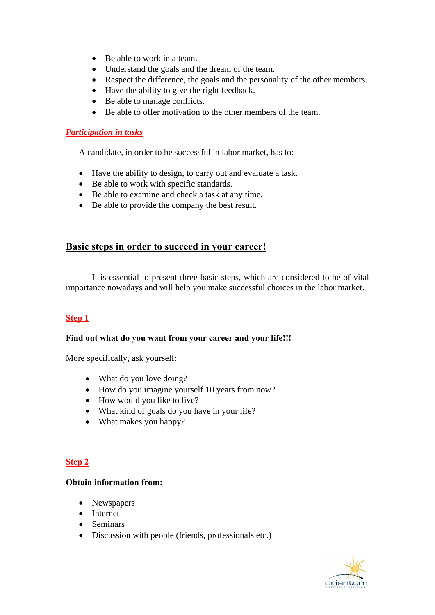- Be able to work in a team.
- Understand the goals and the dream of the team.
- Respect the difference, the goals and the personality of the other members.
- Have the ability to give the right feedback.
- Be able to manage conflicts.
- Be able to offer motivation to the other members of the team.

#### *Participation in tasks*

A candidate, in order to be successful in labor market, has to:

- Have the ability to design, to carry out and evaluate a task.
- Be able to work with specific standards.
- Be able to examine and check a task at any time.
- Be able to provide the company the best result.

# **Basic steps in order to succeed in your career!**

It is essential to present three basic steps, which are considered to be of vital importance nowadays and will help you make successful choices in the labor market.

## **Step 1**

#### **Find out what do you want from your career and your life!!!**

More specifically, ask yourself:

- What do you love doing?
- How do you imagine yourself 10 years from now?
- How would you like to live?
- What kind of goals do you have in your life?
- What makes you happy?

## **Step 2**

#### **Obtain information from:**

- Newspapers
- Internet
- Seminars
- Discussion with people (friends, professionals etc.)

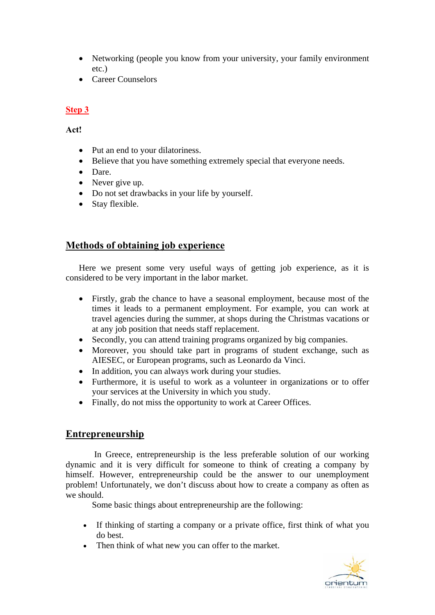- Networking (people you know from your university, your family environment etc.)
- Career Counselors

# **Step 3**

**Act!** 

- Put an end to your dilatoriness.
- Believe that you have something extremely special that everyone needs.
- Dare.
- Never give up.
- Do not set drawbacks in your life by yourself.
- Stay flexible.

# **Methods of obtaining job experience**

Here we present some very useful ways of getting job experience, as it is considered to be very important in the labor market.

- Firstly, grab the chance to have a seasonal employment, because most of the times it leads to a permanent employment. For example, you can work at travel agencies during the summer, at shops during the Christmas vacations or at any job position that needs staff replacement.
- Secondly, you can attend training programs organized by big companies.
- Moreover, you should take part in programs of student exchange, such as AIESEC, or European programs, such as Leonardo da Vinci.
- In addition, you can always work during your studies.
- Furthermore, it is useful to work as a volunteer in organizations or to offer your services at the University in which you study.
- Finally, do not miss the opportunity to work at Career Offices.

# **Entrepreneurship**

 In Greece, entrepreneurship is the less preferable solution of our working dynamic and it is very difficult for someone to think of creating a company by himself. However, entrepreneurship could be the answer to our unemployment problem! Unfortunately, we don't discuss about how to create a company as often as we should.

Some basic things about entrepreneurship are the following:

- If thinking of starting a company or a private office, first think of what you do best.
- Then think of what new you can offer to the market.